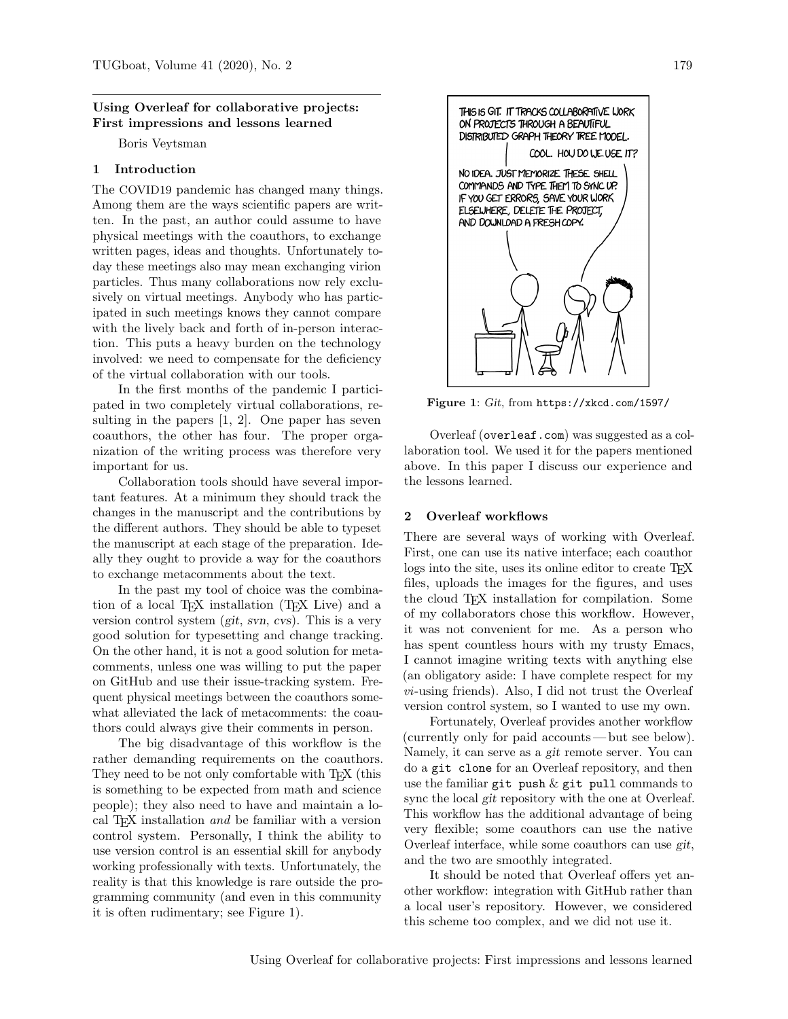### Using Overleaf for collaborative projects: First impressions and lessons learned

Boris Veytsman

# 1 Introduction

The COVID19 pandemic has changed many things. Among them are the ways scientific papers are written. In the past, an author could assume to have physical meetings with the coauthors, to exchange written pages, ideas and thoughts. Unfortunately today these meetings also may mean exchanging virion particles. Thus many collaborations now rely exclusively on virtual meetings. Anybody who has participated in such meetings knows they cannot compare with the lively back and forth of in-person interaction. This puts a heavy burden on the technology involved: we need to compensate for the deficiency of the virtual collaboration with our tools.

In the first months of the pandemic I participated in two completely virtual collaborations, resulting in the papers [\[1,](#page-2-0) [2\]](#page-2-1). One paper has seven coauthors, the other has four. The proper organization of the writing process was therefore very important for us.

Collaboration tools should have several important features. At a minimum they should track the changes in the manuscript and the contributions by the different authors. They should be able to typeset the manuscript at each stage of the preparation. Ideally they ought to provide a way for the coauthors to exchange metacomments about the text.

In the past my tool of choice was the combination of a local TEX installation (TEX Live) and a version control system (git, svn, cvs). This is a very good solution for typesetting and change tracking. On the other hand, it is not a good solution for metacomments, unless one was willing to put the paper on GitHub and use their issue-tracking system. Frequent physical meetings between the coauthors somewhat alleviated the lack of metacomments: the coauthors could always give their comments in person.

The big disadvantage of this workflow is the rather demanding requirements on the coauthors. They need to be not only comfortable with T<sub>E</sub>X (this is something to be expected from math and science people); they also need to have and maintain a local TEX installation and be familiar with a version control system. Personally, I think the ability to use version control is an essential skill for anybody working professionally with texts. Unfortunately, the reality is that this knowledge is rare outside the programming community (and even in this community it is often rudimentary; see Figure [1\)](#page-0-0).



Figure 1: Git, from <https://xkcd.com/1597/>

<span id="page-0-0"></span>Overleaf ([overleaf.com](https://overleaf.com)) was suggested as a collaboration tool. We used it for the papers mentioned above. In this paper I discuss our experience and the lessons learned.

### 2 Overleaf workflows

There are several ways of working with Overleaf. First, one can use its native interface; each coauthor logs into the site, uses its online editor to create TFX files, uploads the images for the figures, and uses the cloud T<sub>EX</sub> installation for compilation. Some of my collaborators chose this workflow. However, it was not convenient for me. As a person who has spent countless hours with my trusty Emacs, I cannot imagine writing texts with anything else (an obligatory aside: I have complete respect for my  $vi$ -using friends). Also, I did not trust the Overleaf version control system, so I wanted to use my own.

Fortunately, Overleaf provides another workflow (currently only for paid accounts— but see below). Namely, it can serve as a git remote server. You can do a git clone for an Overleaf repository, and then use the familiar git push  $\&$  git pull commands to sync the local git repository with the one at Overleaf. This workflow has the additional advantage of being very flexible; some coauthors can use the native Overleaf interface, while some coauthors can use git, and the two are smoothly integrated.

It should be noted that Overleaf offers yet another workflow: integration with GitHub rather than a local user's repository. However, we considered this scheme too complex, and we did not use it.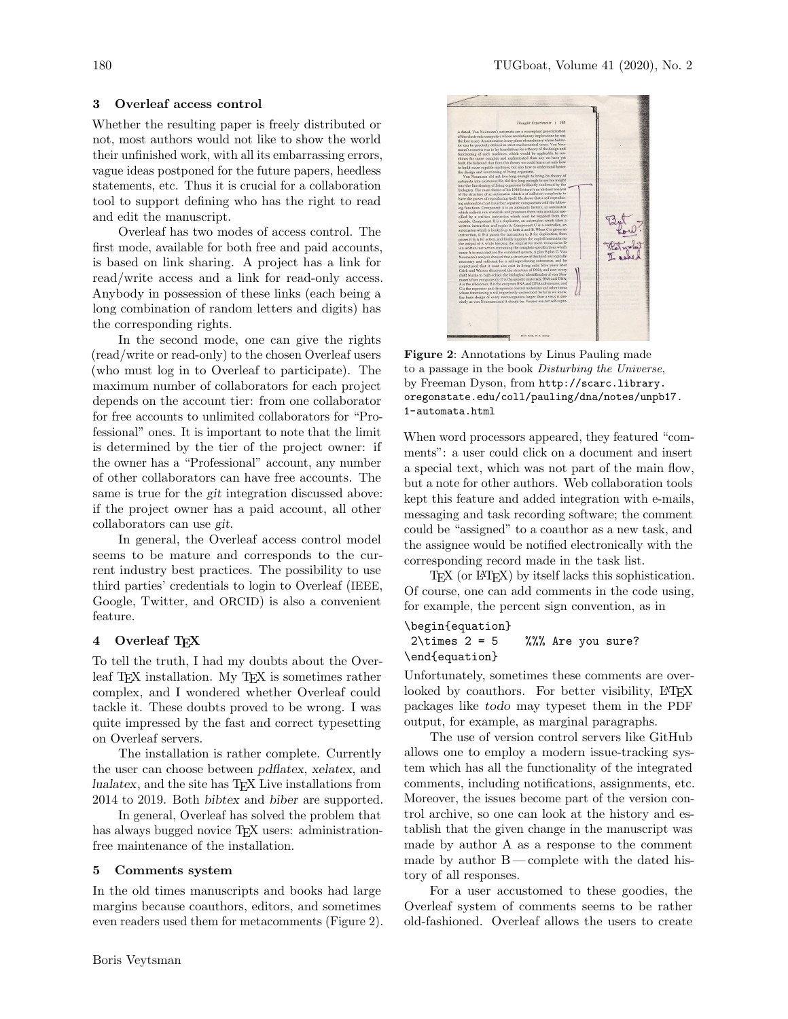# 3 Overleaf access control

Whether the resulting paper is freely distributed or not, most authors would not like to show the world their unfinished work, with all its embarrassing errors, vague ideas postponed for the future papers, heedless statements, etc. Thus it is crucial for a collaboration tool to support defining who has the right to read and edit the manuscript.

Overleaf has two modes of access control. The first mode, available for both free and paid accounts, is based on link sharing. A project has a link for read/write access and a link for read-only access. Anybody in possession of these links (each being a long combination of random letters and digits) has the corresponding rights.

In the second mode, one can give the rights (read/write or read-only) to the chosen Overleaf users (who must log in to Overleaf to participate). The maximum number of collaborators for each project depends on the account tier: from one collaborator for free accounts to unlimited collaborators for "Professional" ones. It is important to note that the limit is determined by the tier of the project owner: if the owner has a "Professional" account, any number of other collaborators can have free accounts. The same is true for the git integration discussed above: if the project owner has a paid account, all other collaborators can use git.

In general, the Overleaf access control model seems to be mature and corresponds to the current industry best practices. The possibility to use third parties' credentials to login to Overleaf (IEEE, Google, Twitter, and ORCID) is also a convenient feature.

### 4 Overleaf T<sub>F</sub>X

To tell the truth, I had my doubts about the Overleaf TEX installation. My TEX is sometimes rather complex, and I wondered whether Overleaf could tackle it. These doubts proved to be wrong. I was quite impressed by the fast and correct typesetting on Overleaf servers.

The installation is rather complete. Currently the user can choose between pdflatex, xelatex, and lualatex, and the site has TEX Live installations from 2014 to 2019. Both bibtex and biber are supported.

In general, Overleaf has solved the problem that has always bugged novice T<sub>EX</sub> users: administrationfree maintenance of the installation.

## 5 Comments system

In the old times manuscripts and books had large margins because coauthors, editors, and sometimes even readers used them for metacomments (Figure [2\)](#page-1-0).



Figure 2: Annotations by Linus Pauling made to a passage in the book Disturbing the Universe, by Freeman Dyson, from [http://scarc.library.](http://scarc.library.oregonstate.edu/coll/pauling/dna/notes/unpb17.1-automata.html) [oregonstate.edu/coll/pauling/dna/notes/unpb17.](http://scarc.library.oregonstate.edu/coll/pauling/dna/notes/unpb17.1-automata.html) [1-automata.html](http://scarc.library.oregonstate.edu/coll/pauling/dna/notes/unpb17.1-automata.html)

<span id="page-1-0"></span>When word processors appeared, they featured "comments": a user could click on a document and insert a special text, which was not part of the main flow, but a note for other authors. Web collaboration tools kept this feature and added integration with e-mails, messaging and task recording software; the comment could be "assigned" to a coauthor as a new task, and the assignee would be notified electronically with the corresponding record made in the task list.

T<sub>EX</sub> (or LAT<sub>EX</sub>) by itself lacks this sophistication. Of course, one can add comments in the code using, for example, the percent sign convention, as in

# \begin{equation}

# $2\times 2 = 5$  %%% Are you sure? \end{equation}

Unfortunately, sometimes these comments are overlooked by coauthors. For better visibility, LATEX packages like todo may typeset them in the PDF output, for example, as marginal paragraphs.

The use of version control servers like GitHub allows one to employ a modern issue-tracking system which has all the functionality of the integrated comments, including notifications, assignments, etc. Moreover, the issues become part of the version control archive, so one can look at the history and establish that the given change in the manuscript was made by author A as a response to the comment made by author B— complete with the dated history of all responses.

For a user accustomed to these goodies, the Overleaf system of comments seems to be rather old-fashioned. Overleaf allows the users to create